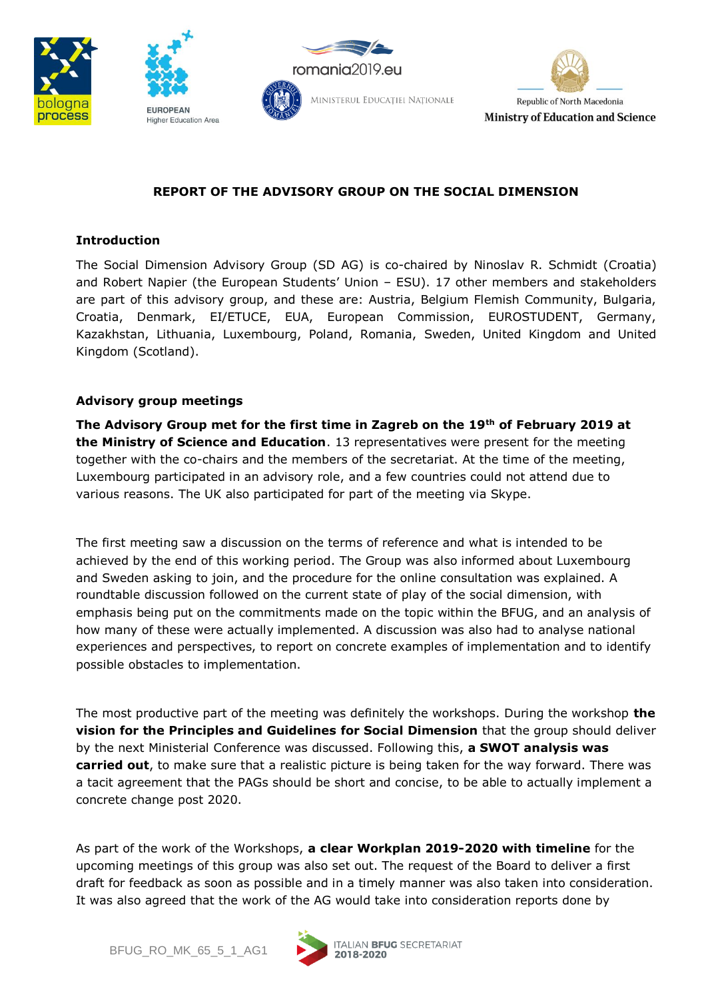







## **REPORT OF THE ADVISORY GROUP ON THE SOCIAL DIMENSION**

## **Introduction**

The Social Dimension Advisory Group (SD AG) is co-chaired by Ninoslav R. Schmidt (Croatia) and Robert Napier (the European Students' Union – ESU). 17 other members and stakeholders are part of this advisory group, and these are: Austria, Belgium Flemish Community, Bulgaria, Croatia, Denmark, EI/ETUCE, EUA, European Commission, EUROSTUDENT, Germany, Kazakhstan, Lithuania, Luxembourg, Poland, Romania, Sweden, United Kingdom and United Kingdom (Scotland).

## **Advisory group meetings**

**The Advisory Group met for the first time in Zagreb on the 19th of February 2019 at the Ministry of Science and Education**. 13 representatives were present for the meeting together with the co-chairs and the members of the secretariat. At the time of the meeting, Luxembourg participated in an advisory role, and a few countries could not attend due to various reasons. The UK also participated for part of the meeting via Skype.

The first meeting saw a discussion on the terms of reference and what is intended to be achieved by the end of this working period. The Group was also informed about Luxembourg and Sweden asking to join, and the procedure for the online consultation was explained. A roundtable discussion followed on the current state of play of the social dimension, with emphasis being put on the commitments made on the topic within the BFUG, and an analysis of how many of these were actually implemented. A discussion was also had to analyse national experiences and perspectives, to report on concrete examples of implementation and to identify possible obstacles to implementation.

The most productive part of the meeting was definitely the workshops. During the workshop **the vision for the Principles and Guidelines for Social Dimension** that the group should deliver by the next Ministerial Conference was discussed. Following this, **a SWOT analysis was carried out**, to make sure that a realistic picture is being taken for the way forward. There was a tacit agreement that the PAGs should be short and concise, to be able to actually implement a concrete change post 2020.

As part of the work of the Workshops, **a clear Workplan 2019-2020 with timeline** for the upcoming meetings of this group was also set out. The request of the Board to deliver a first draft for feedback as soon as possible and in a timely manner was also taken into consideration. It was also agreed that the work of the AG would take into consideration reports done by